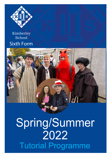

## Kimberley School Sixth Form



## Spring/Summer 2022 Tutorial Programme